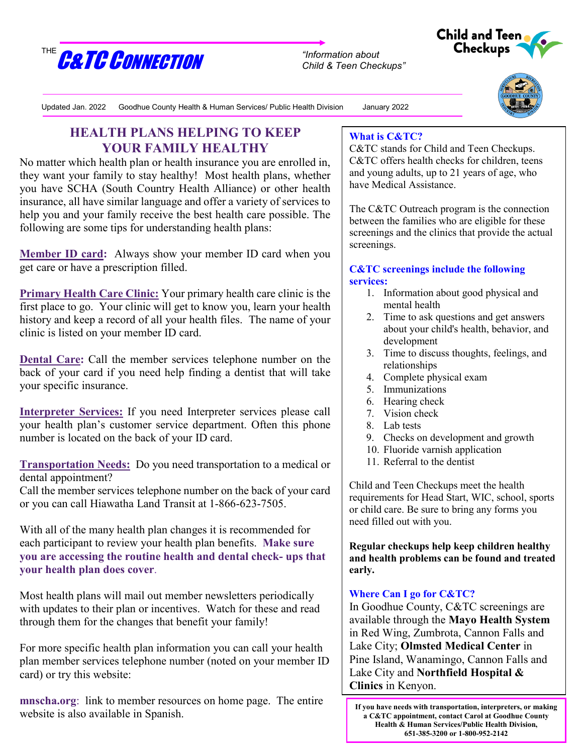

 $\overline{a}$ 

*"Information about Child & Teen Checkups"*



Updated Jan. 2022 Goodhue County Health & Human Services/ Public Health Division January 2022

### **HEALTH PLANS HELPING TO KEEP YOUR FAMILY HEALTHY**

No matter which health plan or health insurance you are enrolled in, they want your family to stay healthy! Most health plans, whether you have SCHA (South Country Health Alliance) or other health insurance, all have similar language and offer a variety of services to help you and your family receive the best health care possible. The following are some tips for understanding health plans:

**Member ID card:** Always show your member ID card when you get care or have a prescription filled.

**Primary Health Care Clinic:** Your primary health care clinic is the first place to go. Your clinic will get to know you, learn your health history and keep a record of all your health files. The name of your clinic is listed on your member ID card.

**Dental Care:** Call the member services telephone number on the back of your card if you need help finding a dentist that will take your specific insurance.

**Interpreter Services:** If you need Interpreter services please call your health plan's customer service department. Often this phone number is located on the back of your ID card.

**Transportation Needs:** Do you need transportation to a medical or dental appointment?

Call the member services telephone number on the back of your card or you can call Hiawatha Land Transit at 1-866-623-7505.

With all of the many health plan changes it is recommended for each participant to review your health plan benefits. **Make sure you are accessing the routine health and dental check- ups that your health plan does cover**.

Most health plans will mail out member newsletters periodically with updates to their plan or incentives. Watch for these and read through them for the changes that benefit your family!

For more specific health plan information you can call your health plan member services telephone number (noted on your member ID card) or try this website:

**mnscha.org**: link to member resources on home page. The entire website is also available in Spanish.

### **What is C&TC?**

C&TC stands for Child and Teen Checkups. C&TC offers health checks for children, teens and young adults, up to 21 years of age, who have Medical Assistance.

The C&TC Outreach program is the connection between the families who are eligible for these screenings and the clinics that provide the actual screenings.

### **C&TC screenings include the following services:**

- 1. Information about good physical and mental health
- 2. Time to ask questions and get answers about your child's health, behavior, and development
- 3. Time to discuss thoughts, feelings, and relationships
- 4. Complete physical exam
- 5. Immunizations
- 6. Hearing check
- 7. Vision check
- 8. Lab tests
- 9. Checks on development and growth
- 10. Fluoride varnish application
- 11. Referral to the dentist

Child and Teen Checkups meet the health requirements for Head Start, WIC, school, sports or child care. Be sure to bring any forms you need filled out with you.

**Regular checkups help keep children healthy and health problems can be found and treated early.**

### **Where Can I go for C&TC?**

In Goodhue County, C&TC screenings are available through the **Mayo Health System**  in Red Wing, Zumbrota, Cannon Falls and Lake City; **Olmsted Medical Center** in Pine Island, Wanamingo, Cannon Falls and Lake City and **Northfield Hospital & Clinics** in Kenyon.

**If you have needs with transportation, interpreters, or making a C&TC appointment, contact Carol at Goodhue County Health & Human Services/Public Health Division, 651-385-3200 or 1-800-952-2142**